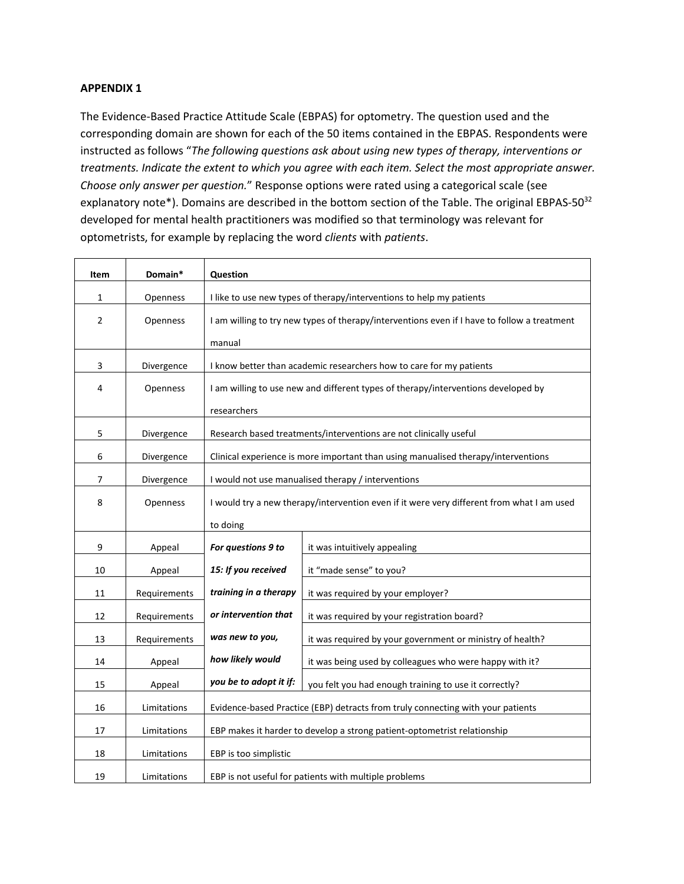## **APPENDIX 1**

The Evidence-Based Practice Attitude Scale (EBPAS) for optometry. The question used and the corresponding domain are shown for each of the 50 items contained in the EBPAS. Respondents were instructed as follows "*The following questions ask about using new types of therapy, interventions or treatments. Indicate the extent to which you agree with each item. Select the most appropriate answer. Choose only answer per question.*" Response options were rated using a categorical scale (see explanatory note\*). Domains are described in the bottom section of the Table. The original EBPAS-50<sup>32</sup> developed for mental health practitioners was modified so that terminology was relevant for optometrists, for example by replacing the word *clients* with *patients*.

| Item           | Domain*      | <b>Question</b>                                                                             |                                                                                           |
|----------------|--------------|---------------------------------------------------------------------------------------------|-------------------------------------------------------------------------------------------|
| $\mathbf{1}$   | Openness     | I like to use new types of therapy/interventions to help my patients                        |                                                                                           |
| $\overline{2}$ | Openness     | I am willing to try new types of therapy/interventions even if I have to follow a treatment |                                                                                           |
|                |              | manual                                                                                      |                                                                                           |
| 3              | Divergence   | I know better than academic researchers how to care for my patients                         |                                                                                           |
| 4              | Openness     | I am willing to use new and different types of therapy/interventions developed by           |                                                                                           |
|                |              | researchers                                                                                 |                                                                                           |
| 5              | Divergence   | Research based treatments/interventions are not clinically useful                           |                                                                                           |
|                |              |                                                                                             |                                                                                           |
| 6              | Divergence   | Clinical experience is more important than using manualised therapy/interventions           |                                                                                           |
| 7              | Divergence   |                                                                                             | I would not use manualised therapy / interventions                                        |
| 8              | Openness     |                                                                                             | I would try a new therapy/intervention even if it were very different from what I am used |
|                |              | to doing                                                                                    |                                                                                           |
| 9              | Appeal       | For questions 9 to                                                                          | it was intuitively appealing                                                              |
| 10             | Appeal       | 15: If you received                                                                         | it "made sense" to you?                                                                   |
| 11             | Requirements | training in a therapy                                                                       | it was required by your employer?                                                         |
| 12             | Requirements | or intervention that                                                                        | it was required by your registration board?                                               |
| 13             | Requirements | was new to you,                                                                             | it was required by your government or ministry of health?                                 |
| 14             | Appeal       | how likely would                                                                            | it was being used by colleagues who were happy with it?                                   |
| 15             | Appeal       | you be to adopt it if:                                                                      | you felt you had enough training to use it correctly?                                     |
| 16             | Limitations  | Evidence-based Practice (EBP) detracts from truly connecting with your patients             |                                                                                           |
| 17             | Limitations  | EBP makes it harder to develop a strong patient-optometrist relationship                    |                                                                                           |
| 18             | Limitations  | EBP is too simplistic                                                                       |                                                                                           |
| 19             | Limitations  | EBP is not useful for patients with multiple problems                                       |                                                                                           |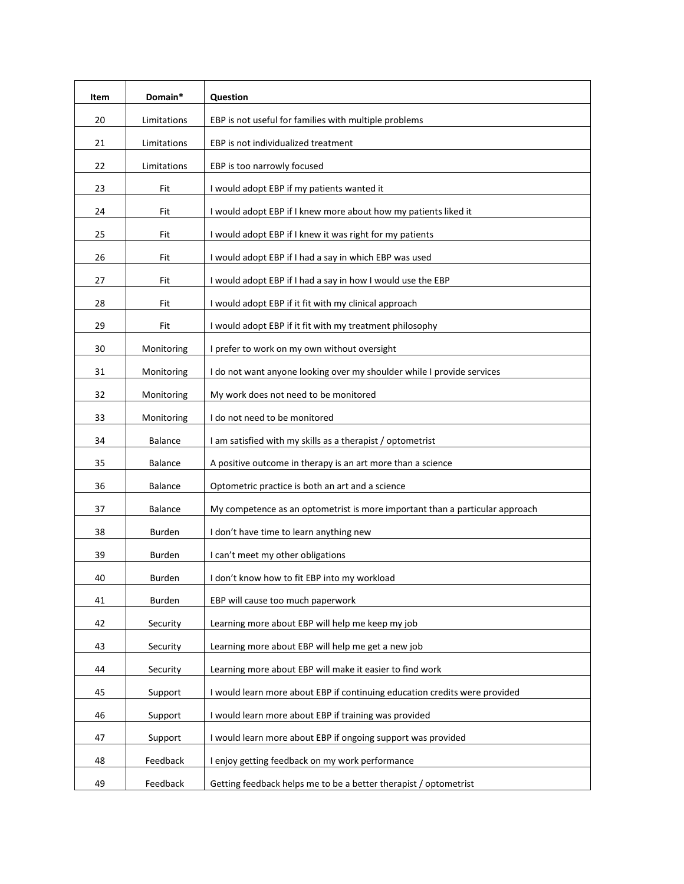| Item | Domain*        | Question                                                                     |  |
|------|----------------|------------------------------------------------------------------------------|--|
| 20   | Limitations    | EBP is not useful for families with multiple problems                        |  |
| 21   | Limitations    | EBP is not individualized treatment                                          |  |
| 22   | Limitations    | EBP is too narrowly focused                                                  |  |
| 23   | Fit            | I would adopt EBP if my patients wanted it                                   |  |
| 24   | Fit            | I would adopt EBP if I knew more about how my patients liked it              |  |
| 25   | Fit            | I would adopt EBP if I knew it was right for my patients                     |  |
| 26   | Fit            | I would adopt EBP if I had a say in which EBP was used                       |  |
| 27   | Fit            | I would adopt EBP if I had a say in how I would use the EBP                  |  |
| 28   | Fit            | I would adopt EBP if it fit with my clinical approach                        |  |
| 29   | Fit            | I would adopt EBP if it fit with my treatment philosophy                     |  |
| 30   | Monitoring     | I prefer to work on my own without oversight                                 |  |
| 31   | Monitoring     | I do not want anyone looking over my shoulder while I provide services       |  |
| 32   | Monitoring     | My work does not need to be monitored                                        |  |
| 33   | Monitoring     | I do not need to be monitored                                                |  |
| 34   | <b>Balance</b> | I am satisfied with my skills as a therapist / optometrist                   |  |
| 35   | <b>Balance</b> | A positive outcome in therapy is an art more than a science                  |  |
| 36   | <b>Balance</b> | Optometric practice is both an art and a science                             |  |
| 37   | Balance        | My competence as an optometrist is more important than a particular approach |  |
| 38   | Burden         | I don't have time to learn anything new                                      |  |
| 39   | Burden         | I can't meet my other obligations                                            |  |
| 40   | Burden         | I don't know how to fit EBP into my workload                                 |  |
| 41   | Burden         | EBP will cause too much paperwork                                            |  |
| 42   | Security       | Learning more about EBP will help me keep my job                             |  |
| 43   | Security       | Learning more about EBP will help me get a new job                           |  |
| 44   | Security       | Learning more about EBP will make it easier to find work                     |  |
| 45   | Support        | I would learn more about EBP if continuing education credits were provided   |  |
| 46   | Support        | I would learn more about EBP if training was provided                        |  |
| 47   | Support        | I would learn more about EBP if ongoing support was provided                 |  |
| 48   | Feedback       | I enjoy getting feedback on my work performance                              |  |
| 49   | Feedback       | Getting feedback helps me to be a better therapist / optometrist             |  |